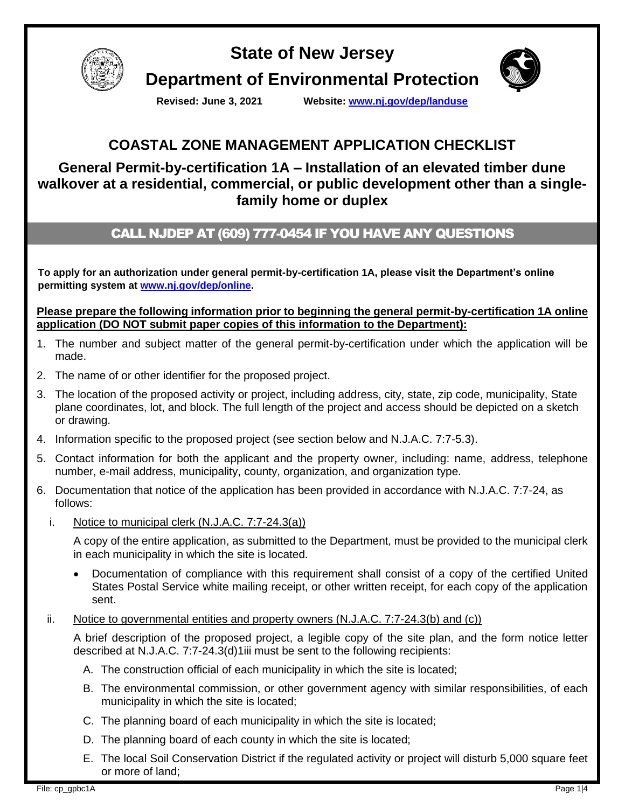

**State of New Jersey Department of Environmental Protection**



**Revised: June 3, 2021 Website: [www.nj.gov/dep/landuse](http://www.nj.gov/dep/landuse)**

# **COASTAL ZONE MANAGEMENT APPLICATION CHECKLIST**

## **General Permit-by-certification 1A – Installation of an elevated timber dune walkover at a residential, commercial, or public development other than a singlefamily home or duplex**

## CALL NJDEP AT (609) 777-0454 IF YOU HAVE ANY QUESTIONS

**To apply for an authorization under general permit-by-certification 1A, please visit the Department's online permitting system at [www.nj.gov/dep/online.](http://www.nj.gov/dep/online)**

**Please prepare the following information prior to beginning the general permit-by-certification 1A online application (DO NOT submit paper copies of this information to the Department):**

- 1. The number and subject matter of the general permit-by-certification under which the application will be made.
- 2. The name of or other identifier for the proposed project.
- 3. The location of the proposed activity or project, including address, city, state, zip code, municipality, State plane coordinates, lot, and block. The full length of the project and access should be depicted on a sketch or drawing.
- 4. Information specific to the proposed project (see section below and N.J.A.C. 7:7-5.3).
- 5. Contact information for both the applicant and the property owner, including: name, address, telephone number, e-mail address, municipality, county, organization, and organization type.
- 6. Documentation that notice of the application has been provided in accordance with N.J.A.C. 7:7-24, as follows:
	- i. Notice to municipal clerk (N.J.A.C. 7:7-24.3(a))

A copy of the entire application, as submitted to the Department, must be provided to the municipal clerk in each municipality in which the site is located.

- Documentation of compliance with this requirement shall consist of a copy of the certified United States Postal Service white mailing receipt, or other written receipt, for each copy of the application sent.
- ii. Notice to governmental entities and property owners  $(N.J.A.C. 7:7-24.3(b)$  and  $(c)$ )

A brief description of the proposed project, a legible copy of the site plan, and the form notice letter described at N.J.A.C. 7:7-24.3(d)1iii must be sent to the following recipients:

- A. The construction official of each municipality in which the site is located;
- B. The environmental commission, or other government agency with similar responsibilities, of each municipality in which the site is located;
- C. The planning board of each municipality in which the site is located;
- D. The planning board of each county in which the site is located;
- E. The local Soil Conservation District if the regulated activity or project will disturb 5,000 square feet or more of land;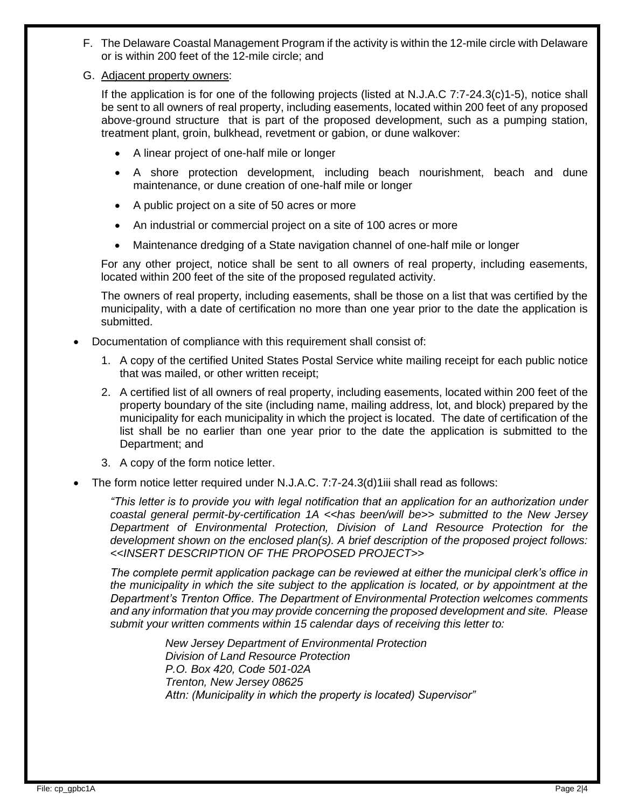- F. The Delaware Coastal Management Program if the activity is within the 12-mile circle with Delaware or is within 200 feet of the 12-mile circle; and
- G. Adjacent property owners:

If the application is for one of the following projects (listed at N.J.A.C 7:7-24.3(c)1-5), notice shall be sent to all owners of real property, including easements, located within 200 feet of any proposed above-ground structure that is part of the proposed development, such as a pumping station, treatment plant, groin, bulkhead, revetment or gabion, or dune walkover:

- A linear project of one-half mile or longer
- A shore protection development, including beach nourishment, beach and dune maintenance, or dune creation of one-half mile or longer
- A public project on a site of 50 acres or more
- An industrial or commercial project on a site of 100 acres or more
- Maintenance dredging of a State navigation channel of one-half mile or longer

For any other project, notice shall be sent to all owners of real property, including easements, located within 200 feet of the site of the proposed regulated activity.

The owners of real property, including easements, shall be those on a list that was certified by the municipality, with a date of certification no more than one year prior to the date the application is submitted.

- Documentation of compliance with this requirement shall consist of:
	- 1. A copy of the certified United States Postal Service white mailing receipt for each public notice that was mailed, or other written receipt;
	- 2. A certified list of all owners of real property, including easements, located within 200 feet of the property boundary of the site (including name, mailing address, lot, and block) prepared by the municipality for each municipality in which the project is located. The date of certification of the list shall be no earlier than one year prior to the date the application is submitted to the Department; and
	- 3. A copy of the form notice letter.
- The form notice letter required under N.J.A.C. 7:7-24.3(d)1iii shall read as follows:

*"This letter is to provide you with legal notification that an application for an authorization under coastal general permit-by-certification 1A <<has been/will be>> submitted to the New Jersey Department of Environmental Protection, Division of Land Resource Protection for the development shown on the enclosed plan(s). A brief description of the proposed project follows: <<INSERT DESCRIPTION OF THE PROPOSED PROJECT>>*

*The complete permit application package can be reviewed at either the municipal clerk's office in the municipality in which the site subject to the application is located, or by appointment at the Department's Trenton Office. The Department of Environmental Protection welcomes comments and any information that you may provide concerning the proposed development and site. Please submit your written comments within 15 calendar days of receiving this letter to:*

> *New Jersey Department of Environmental Protection Division of Land Resource Protection P.O. Box 420, Code 501-02A Trenton, New Jersey 08625 Attn: (Municipality in which the property is located) Supervisor"*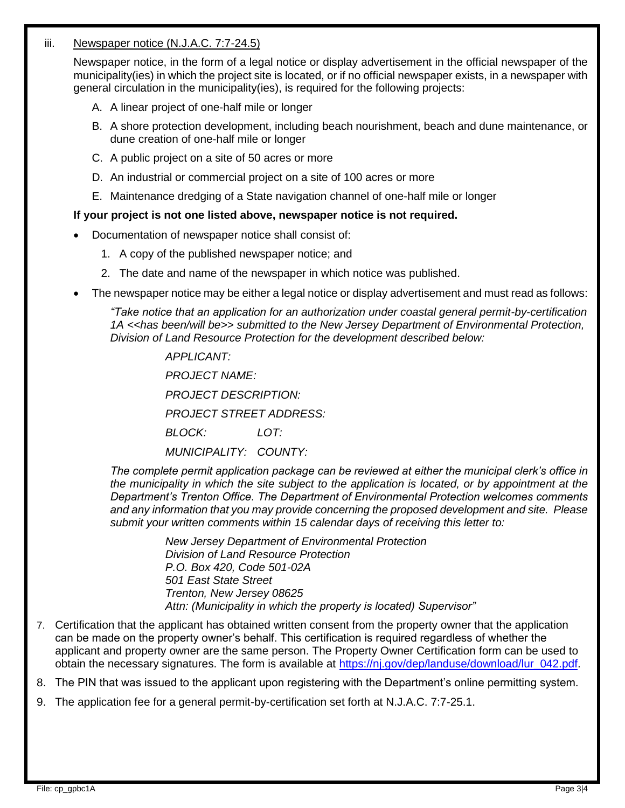#### iii. Newspaper notice (N.J.A.C. 7:7-24.5)

Newspaper notice, in the form of a legal notice or display advertisement in the official newspaper of the municipality(ies) in which the project site is located, or if no official newspaper exists, in a newspaper with general circulation in the municipality(ies), is required for the following projects:

- A. A linear project of one-half mile or longer
- B. A shore protection development, including beach nourishment, beach and dune maintenance, or dune creation of one-half mile or longer
- C. A public project on a site of 50 acres or more
- D. An industrial or commercial project on a site of 100 acres or more
- E. Maintenance dredging of a State navigation channel of one-half mile or longer

#### **If your project is not one listed above, newspaper notice is not required.**

- Documentation of newspaper notice shall consist of:
	- 1. A copy of the published newspaper notice; and
	- 2. The date and name of the newspaper in which notice was published.
- The newspaper notice may be either a legal notice or display advertisement and must read as follows:

*"Take notice that an application for an authorization under coastal general permit-by-certification 1A <<has been/will be>> submitted to the New Jersey Department of Environmental Protection, Division of Land Resource Protection for the development described below:*

> *APPLICANT: PROJECT NAME: PROJECT DESCRIPTION:*

*PROJECT STREET ADDRESS:*

*BLOCK: LOT:*

*MUNICIPALITY: COUNTY:*

*The complete permit application package can be reviewed at either the municipal clerk's office in the municipality in which the site subject to the application is located, or by appointment at the Department's Trenton Office. The Department of Environmental Protection welcomes comments and any information that you may provide concerning the proposed development and site. Please submit your written comments within 15 calendar days of receiving this letter to:*

> *New Jersey Department of Environmental Protection Division of Land Resource Protection P.O. Box 420, Code 501-02A 501 East State Street Trenton, New Jersey 08625 Attn: (Municipality in which the property is located) Supervisor"*

7. Certification that the applicant has obtained written consent from the property owner that the application can be made on the property owner's behalf. This certification is required regardless of whether the applicant and property owner are the same person. The Property Owner Certification form can be used to obtain the necessary signatures. The form is available at [https://nj.gov/dep/landuse/download/lur\\_042.pdf.](https://nj.gov/dep/landuse/download/lur_042.pdf)

8. The PIN that was issued to the applicant upon registering with the Department's online permitting system.

9. The application fee for a general permit-by-certification set forth at N.J.A.C. 7:7-25.1.